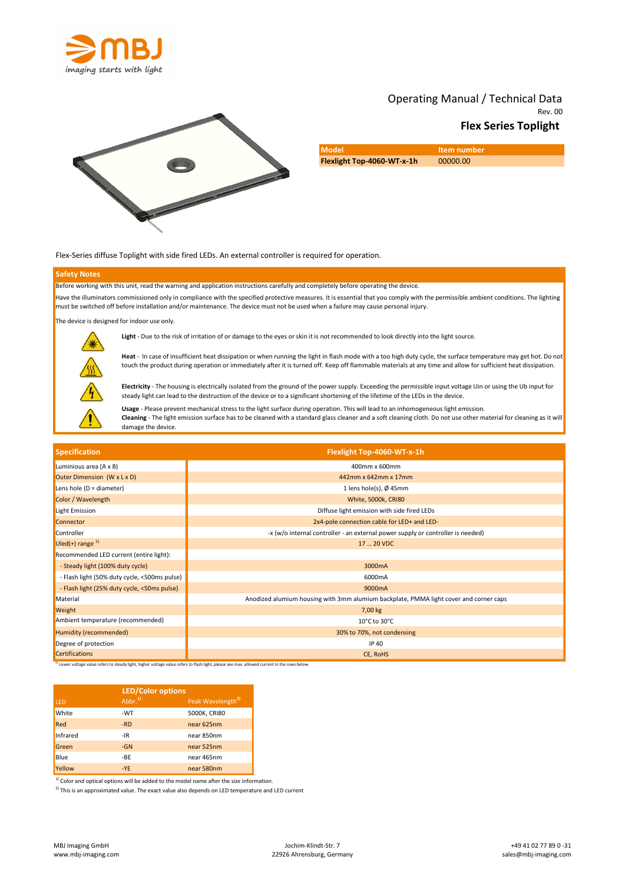





| <b>Model</b>               | <b>Item number</b> |
|----------------------------|--------------------|
| Flexlight Top-4060-WT-x-1h | 00000.00           |

Flex-Series diffuse Toplight with side fired LEDs. An external controller is required for operation.

## Safety Notes

Before working with this unit, read the warning and application instructions carefully and completely before operating the device. Have the illuminators commissioned only in compliance with the specified protective measures. It is essential that you comply with the permissible ambient conditions. The lighting must be switched off before installation and/or maintenance. The device must not be used when a failure may cause personal injury.

The device is designed for indoor use only.



Light - Due to the risk of irritation of or damage to the eyes or skin it is not recommended to look directly into the light source.

Heat - In case of insufficient heat dissipation or when running the light in flash mode with a too high duty cycle, the surface temperature may get hot. Do not touch the product during operation or immediately after it is turned off. Keep off flammable materials at any time and allow for sufficient heat dissipation.

Electricity - The housing is electrically isolated from the ground of the power supply. Exceeding the permissible input voltage Uin or using the Ub input for steady light can lead to the destruction of the device or to a significant shortening of the lifetime of the LEDs in the device.

Usage - Please prevent mechanical stress to the light surface during operation. This will lead to an inhomogeneous light emission. Cleaning - The light emission surface has to be cleaned with a standard glass cleaner and a soft cleaning cloth. Do not use other material for cleaning as it will damage the device.

| <b>Specification</b>                         | Flexlight Top-4060-WT-x-1h                                                            |  |
|----------------------------------------------|---------------------------------------------------------------------------------------|--|
| Luminious area (A x B)                       | 400mm x 600mm                                                                         |  |
| Outer Dimension (W x L x D)                  | 442mm x 642mm x 17mm                                                                  |  |
| Lens hole ( $D =$ diameter)                  | 1 lens hole(s), $\varnothing$ 45mm                                                    |  |
| Color / Wavelength                           | <b>White, 5000k, CRI80</b>                                                            |  |
| Light Emission                               | Diffuse light emission with side fired LEDs                                           |  |
| Connector                                    | 2x4-pole connection cable for LED+ and LED-                                           |  |
| Controller                                   | -x (w/o internal controller - an external power supply or controller is needed)       |  |
| Uled(+) range $^{1}$                         | 17  20 VDC                                                                            |  |
| Recommended LED current (entire light):      |                                                                                       |  |
| - Steady light (100% duty cycle)             | 3000mA                                                                                |  |
| - Flash light (50% duty cycle, <500ms pulse) | 6000mA                                                                                |  |
| - Flash light (25% duty cycle, <50ms pulse)  | 9000mA                                                                                |  |
| Material                                     | Anodized alumium housing with 3mm alumium backplate, PMMA light cover and corner caps |  |
| Weight                                       | 7,00 kg                                                                               |  |
| Ambient temperature (recommended)            | 10°C to 30°C                                                                          |  |
| Humidity (recommended)                       | 30% to 70%, not condensing                                                            |  |
| Degree of protection                         | <b>IP 40</b>                                                                          |  |
| <b>Certifications</b>                        | CE, RoHS                                                                              |  |

1) Lower voltage value refers to steady light, higher voltage value refers to flash light, please see max. allowed current in the rows below

| LED.     | <b>LED/Color options</b><br>Abbr <sup>1</sup> | Peak Wavelength <sup>2)</sup> |
|----------|-----------------------------------------------|-------------------------------|
| White    | -WT                                           | 5000K, CRI80                  |
| Red      | -RD                                           | near 625nm                    |
| Infrared | -IR                                           | near 850nm                    |
| Green    | $-GN$                                         | near 525nm                    |
| Blue     | -BE                                           | near 465nm                    |
| Yellow   | $-YE$                                         | near 580nm                    |

 $1)$  Color and optical options will be added to the model name after the size information.

 $2)$  This is an approximated value. The exact value also depends on LED temperature and LED current